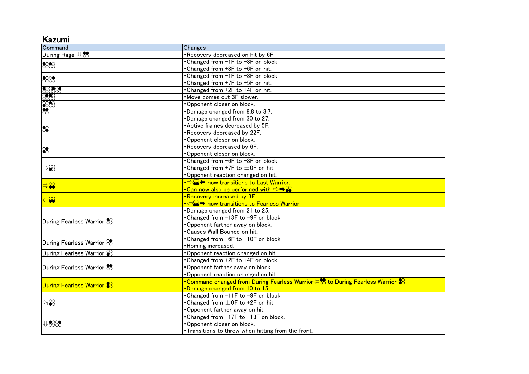| .azumi |  |
|--------|--|

| Command                           | Changes                                                                                                        |
|-----------------------------------|----------------------------------------------------------------------------------------------------------------|
| During Rage $\sqrt[1]{\infty}$    | Recovery decreased on hit by 6F.                                                                               |
| 888                               | • Changed from -1F to -3F on block.                                                                            |
|                                   | Changed from +8F to +6F on hit.                                                                                |
| 888                               | Changed from -1F to -3F on block.                                                                              |
|                                   | Changed from +7F to +5F on hit.                                                                                |
| 3333<br>333<br>333<br>333         | Changed from +2F to +4F on hit.                                                                                |
|                                   | Move comes out 3F slower.                                                                                      |
|                                   | Opponent closer on block.                                                                                      |
|                                   | Damage changed from 8,8 to 3,7.                                                                                |
| 8                                 | Damage changed from 30 to 27.                                                                                  |
|                                   | Active frames decreased by 5F.                                                                                 |
|                                   | Recovery decreased by 22F.                                                                                     |
|                                   | Opponent closer on block.                                                                                      |
| $\bf \infty$                      | Recovery decreased by 6F.                                                                                      |
|                                   | Opponent closer on block.                                                                                      |
| $\Rightarrow \mathcal{S}$         | • Changed from -6F to -8F on block.                                                                            |
|                                   | • Changed from +7F to ±0F on hit.                                                                              |
|                                   | Opponent reaction changed on hit.                                                                              |
| ⇒≌                                | $\cdot$ $\Rightarrow$ $\cdot$ $\bullet$ now transitions to Last Warrior.                                       |
|                                   | •Can now also be performed with $\Rightarrow$ $\clubsuit$ $\circ$                                              |
| $\infty$                          | .Recovery increased by 3F.                                                                                     |
|                                   | ∙ ⇔⊗➡ now transitions to Fearless Warrior                                                                      |
| During Fearless Warrior $\&$      | Damage changed from 21 to 25.                                                                                  |
|                                   | •Changed from -13F to -9F on block.                                                                            |
|                                   | Opponent farther away on block.                                                                                |
|                                   | Causes Wall Bounce on hit.                                                                                     |
| During Fearless Warrior $\otimes$ | Changed from -6F to -10F on block.                                                                             |
|                                   | Homing increased.                                                                                              |
| During Fearless Warrior $\otimes$ | Opponent reaction changed on hit.                                                                              |
| During Fearless Warrior &         | Changed from +2F to +4F on block.                                                                              |
|                                   | Opponent farther away on block.                                                                                |
|                                   | Opponent reaction changed on hit.                                                                              |
| During Fearless Warrior &         | $\cdot$ Command changed from During Fearless Warrior $\leftrightarrows$ to During Fearless Warrior $\clubsuit$ |
|                                   | Damage changed from 10 to 15.                                                                                  |
| $\otimes$                         | Changed from -11F to -9F on block.                                                                             |
|                                   | • Changed from ±0F to +2F on hit.                                                                              |
|                                   | Opponent farther away on hit.                                                                                  |
| 0.888                             | Changed from -17F to -13F on block.                                                                            |
|                                   | Opponent closer on block.                                                                                      |
|                                   | . Transitions to throw when hitting from the front.                                                            |